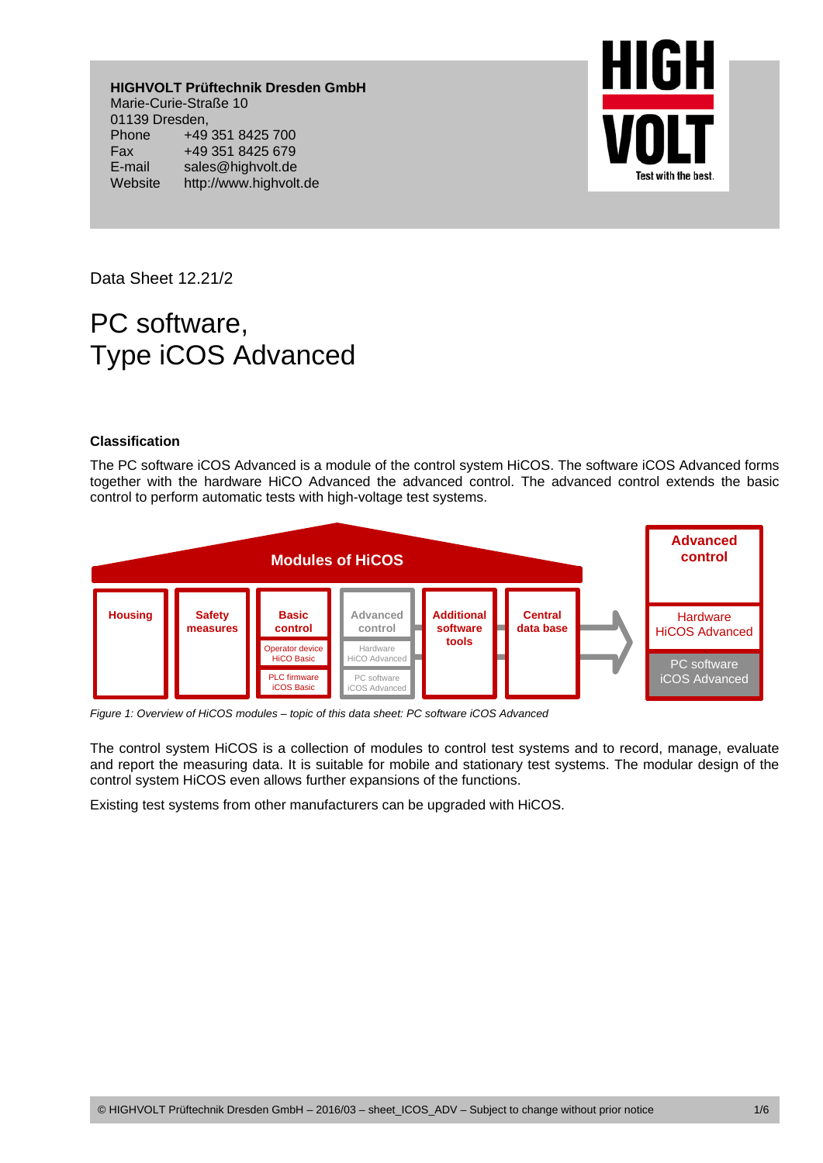**HIGHVOLT Prüftechnik Dresden GmbH**  Marie-Curie-Straße 10 01139 Dresden, Phone +49 351 8425 700 Fax +49 351 8425 679 E-mail sales@highvolt.de Website http://www.highvolt.de



Data Sheet 12.21/2

# PC software, Type iCOS Advanced

# **Classification**

The PC software iCOS Advanced is a module of the control system HiCOS. The software iCOS Advanced forms together with the hardware HiCO Advanced the advanced control. The advanced control extends the basic control to perform automatic tests with high-voltage test systems.



*Figure 1: Overview of HiCOS modules – topic of this data sheet: PC software iCOS Advanced* 

The control system HiCOS is a collection of modules to control test systems and to record, manage, evaluate and report the measuring data. It is suitable for mobile and stationary test systems. The modular design of the control system HiCOS even allows further expansions of the functions.

Existing test systems from other manufacturers can be upgraded with HiCOS.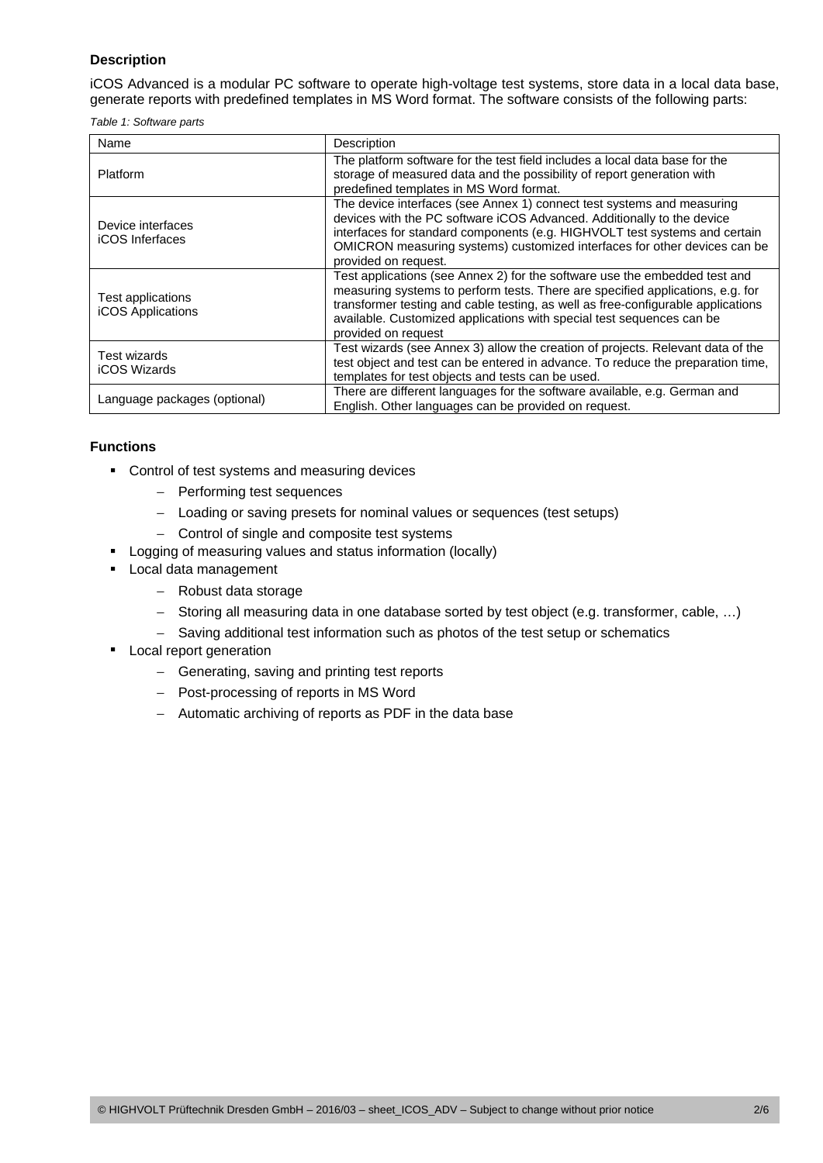# **Description**

iCOS Advanced is a modular PC software to operate high-voltage test systems, store data in a local data base, generate reports with predefined templates in MS Word format. The software consists of the following parts:

*Table 1: Software parts* 

| Name                                          | Description                                                                                                                                                                                                                                                                                                                                      |  |  |
|-----------------------------------------------|--------------------------------------------------------------------------------------------------------------------------------------------------------------------------------------------------------------------------------------------------------------------------------------------------------------------------------------------------|--|--|
| <b>Platform</b>                               | The platform software for the test field includes a local data base for the<br>storage of measured data and the possibility of report generation with<br>predefined templates in MS Word format.                                                                                                                                                 |  |  |
| Device interfaces<br><b>iCOS</b> Inferfaces   | The device interfaces (see Annex 1) connect test systems and measuring<br>devices with the PC software iCOS Advanced. Additionally to the device<br>interfaces for standard components (e.g. HIGHVOLT test systems and certain<br>OMICRON measuring systems) customized interfaces for other devices can be<br>provided on request.              |  |  |
| Test applications<br><b>iCOS Applications</b> | Test applications (see Annex 2) for the software use the embedded test and<br>measuring systems to perform tests. There are specified applications, e.g. for<br>transformer testing and cable testing, as well as free-configurable applications<br>available. Customized applications with special test sequences can be<br>provided on request |  |  |
| Test wizards<br><b>iCOS Wizards</b>           | Test wizards (see Annex 3) allow the creation of projects. Relevant data of the<br>test object and test can be entered in advance. To reduce the preparation time,<br>templates for test objects and tests can be used.                                                                                                                          |  |  |
| Language packages (optional)                  | There are different languages for the software available, e.g. German and<br>English. Other languages can be provided on request.                                                                                                                                                                                                                |  |  |

# **Functions**

- **-** Control of test systems and measuring devices
	- − Performing test sequences
	- − Loading or saving presets for nominal values or sequences (test setups)
	- − Control of single and composite test systems
- **-** Logging of measuring values and status information (locally)
- **Local data management** 
	- − Robust data storage
	- − Storing all measuring data in one database sorted by test object (e.g. transformer, cable, …)
	- − Saving additional test information such as photos of the test setup or schematics
- **Local report generation** 
	- − Generating, saving and printing test reports
	- − Post-processing of reports in MS Word
	- − Automatic archiving of reports as PDF in the data base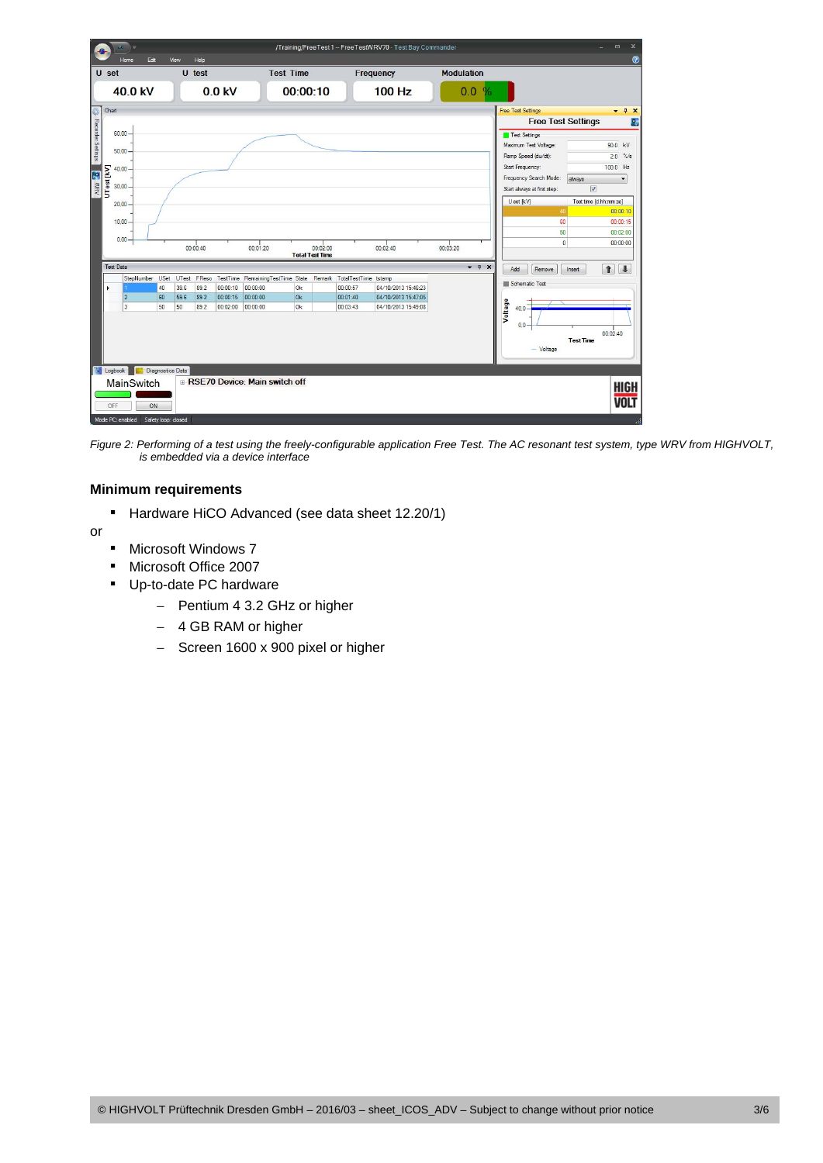

*Figure 2: Performing of a test using the freely-configurable application Free Test. The AC resonant test system, type WRV from HIGHVOLT, is embedded via a device interface* 

# **Minimum requirements**

Hardware HiCO Advanced (see data sheet 12.20/1)

or

- Microsoft Windows 7
- **Microsoft Office 2007**
- Up-to-date PC hardware
	- − Pentium 4 3.2 GHz or higher
	- − 4 GB RAM or higher
	- − Screen 1600 x 900 pixel or higher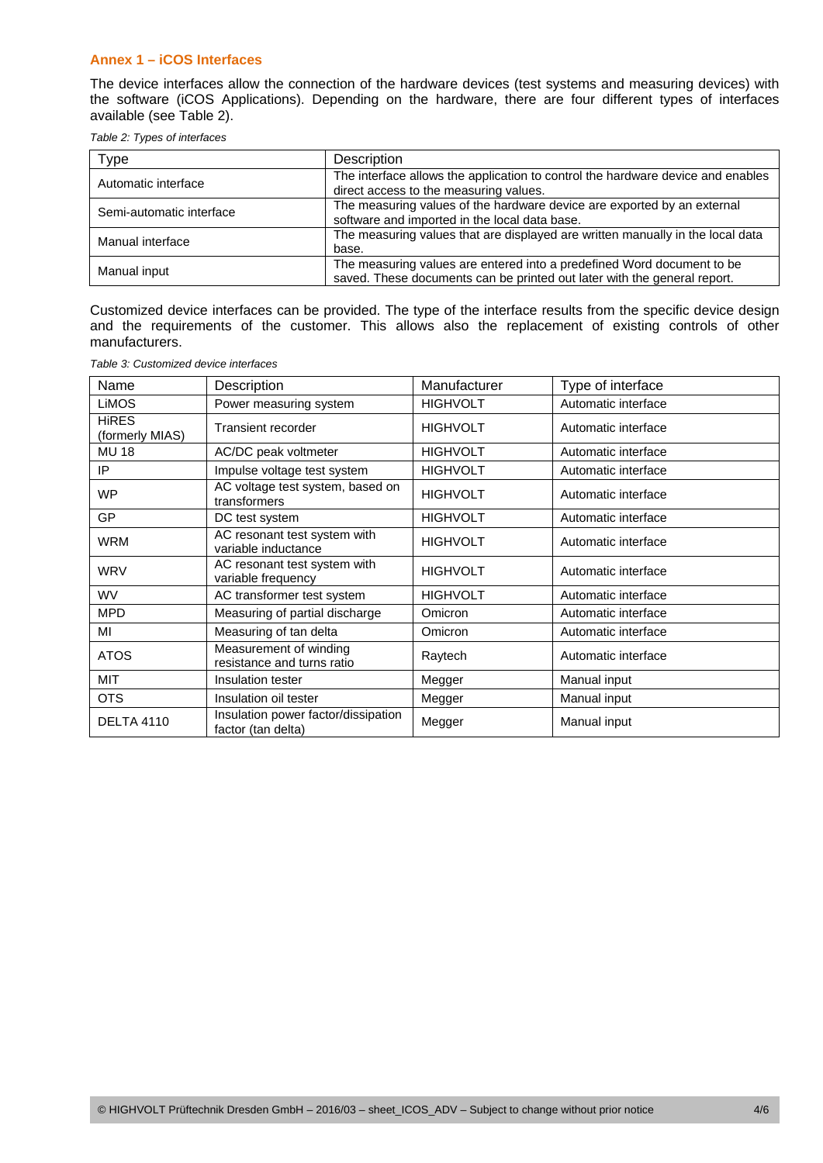# **Annex 1 – iCOS Interfaces**

The device interfaces allow the connection of the hardware devices (test systems and measuring devices) with the software (iCOS Applications). Depending on the hardware, there are four different types of interfaces available (see Table 2).

*Table 2: Types of interfaces* 

| Type                     | Description                                                                                                                                        |
|--------------------------|----------------------------------------------------------------------------------------------------------------------------------------------------|
| Automatic interface      | The interface allows the application to control the hardware device and enables<br>direct access to the measuring values.                          |
| Semi-automatic interface | The measuring values of the hardware device are exported by an external<br>software and imported in the local data base.                           |
| Manual interface         | The measuring values that are displayed are written manually in the local data<br>base.                                                            |
| Manual input             | The measuring values are entered into a predefined Word document to be<br>saved. These documents can be printed out later with the general report. |

Customized device interfaces can be provided. The type of the interface results from the specific device design and the requirements of the customer. This allows also the replacement of existing controls of other manufacturers.

| Name                            | Description                                               | Manufacturer    | Type of interface   |
|---------------------------------|-----------------------------------------------------------|-----------------|---------------------|
| <b>LiMOS</b>                    | Power measuring system                                    | <b>HIGHVOLT</b> | Automatic interface |
| <b>HIRES</b><br>(formerly MIAS) | Transient recorder                                        | <b>HIGHVOLT</b> | Automatic interface |
| <b>MU 18</b>                    | AC/DC peak voltmeter                                      | <b>HIGHVOLT</b> | Automatic interface |
| IP                              | Impulse voltage test system                               | <b>HIGHVOLT</b> | Automatic interface |
| <b>WP</b>                       | AC voltage test system, based on<br>transformers          | <b>HIGHVOLT</b> | Automatic interface |
| GP                              | DC test system                                            | <b>HIGHVOLT</b> | Automatic interface |
| <b>WRM</b>                      | AC resonant test system with<br>variable inductance       | <b>HIGHVOLT</b> | Automatic interface |
| <b>WRV</b>                      | AC resonant test system with<br>variable frequency        | <b>HIGHVOLT</b> | Automatic interface |
| <b>WV</b>                       | AC transformer test system                                | <b>HIGHVOLT</b> | Automatic interface |
| <b>MPD</b>                      | Measuring of partial discharge                            | <b>Omicron</b>  | Automatic interface |
| МI                              | Measuring of tan delta                                    | Omicron         | Automatic interface |
| <b>ATOS</b>                     | Measurement of winding<br>resistance and turns ratio      | Raytech         | Automatic interface |
| <b>MIT</b>                      | Insulation tester                                         | Megger          | Manual input        |
| <b>OTS</b>                      | Insulation oil tester                                     | Megger          | Manual input        |
| <b>DELTA 4110</b>               | Insulation power factor/dissipation<br>factor (tan delta) | Megger          | Manual input        |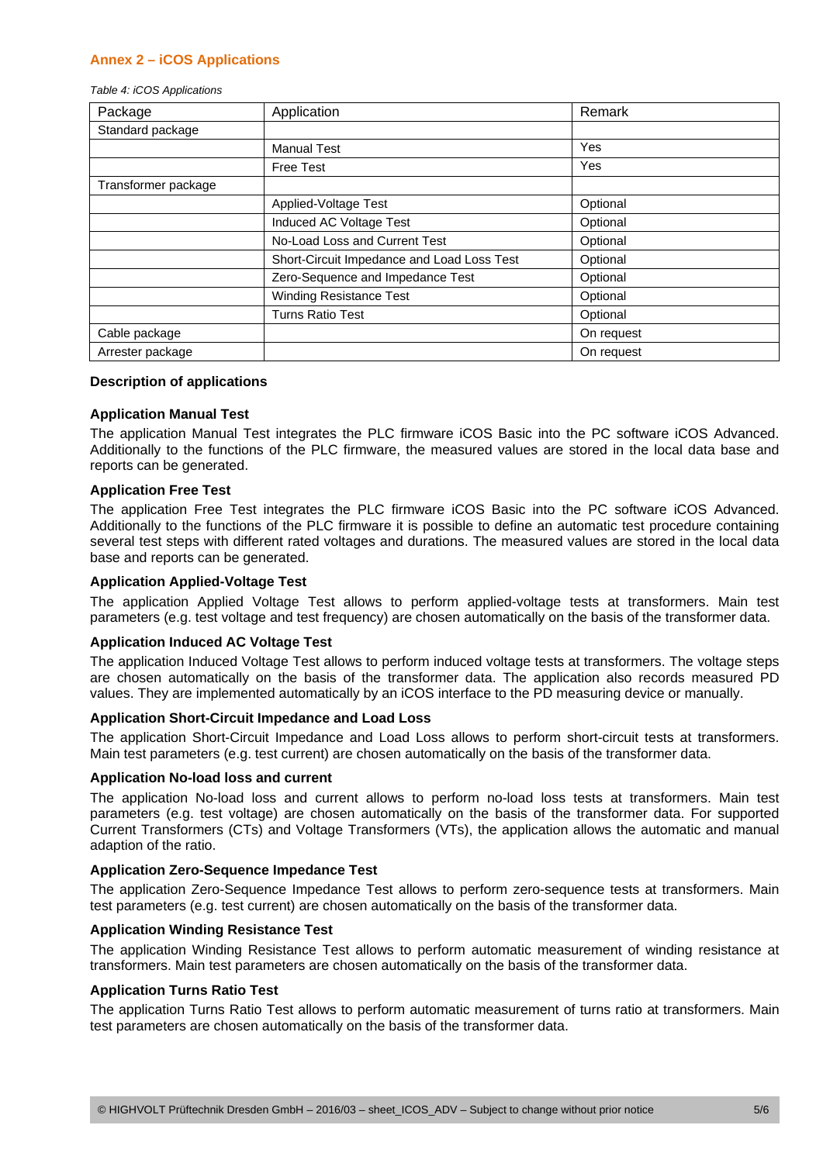# **Annex 2 – iCOS Applications**

*Table 4: iCOS Applications* 

| Package             | Application                                | Remark     |
|---------------------|--------------------------------------------|------------|
| Standard package    |                                            |            |
|                     | <b>Manual Test</b>                         | Yes        |
|                     | <b>Free Test</b>                           | Yes        |
| Transformer package |                                            |            |
|                     | Applied-Voltage Test                       | Optional   |
|                     | Induced AC Voltage Test                    | Optional   |
|                     | No-Load Loss and Current Test              | Optional   |
|                     | Short-Circuit Impedance and Load Loss Test | Optional   |
|                     | Zero-Sequence and Impedance Test           | Optional   |
|                     | <b>Winding Resistance Test</b>             | Optional   |
|                     | <b>Turns Ratio Test</b>                    | Optional   |
| Cable package       |                                            | On request |
| Arrester package    |                                            | On request |

## **Description of applications**

## **Application Manual Test**

The application Manual Test integrates the PLC firmware iCOS Basic into the PC software iCOS Advanced. Additionally to the functions of the PLC firmware, the measured values are stored in the local data base and reports can be generated.

# **Application Free Test**

The application Free Test integrates the PLC firmware iCOS Basic into the PC software iCOS Advanced. Additionally to the functions of the PLC firmware it is possible to define an automatic test procedure containing several test steps with different rated voltages and durations. The measured values are stored in the local data base and reports can be generated.

# **Application Applied-Voltage Test**

The application Applied Voltage Test allows to perform applied-voltage tests at transformers. Main test parameters (e.g. test voltage and test frequency) are chosen automatically on the basis of the transformer data.

## **Application Induced AC Voltage Test**

The application Induced Voltage Test allows to perform induced voltage tests at transformers. The voltage steps are chosen automatically on the basis of the transformer data. The application also records measured PD values. They are implemented automatically by an iCOS interface to the PD measuring device or manually.

## **Application Short-Circuit Impedance and Load Loss**

The application Short-Circuit Impedance and Load Loss allows to perform short-circuit tests at transformers. Main test parameters (e.g. test current) are chosen automatically on the basis of the transformer data.

## **Application No-load loss and current**

The application No-load loss and current allows to perform no-load loss tests at transformers. Main test parameters (e.g. test voltage) are chosen automatically on the basis of the transformer data. For supported Current Transformers (CTs) and Voltage Transformers (VTs), the application allows the automatic and manual adaption of the ratio.

## **Application Zero-Sequence Impedance Test**

The application Zero-Sequence Impedance Test allows to perform zero-sequence tests at transformers. Main test parameters (e.g. test current) are chosen automatically on the basis of the transformer data.

## **Application Winding Resistance Test**

The application Winding Resistance Test allows to perform automatic measurement of winding resistance at transformers. Main test parameters are chosen automatically on the basis of the transformer data.

## **Application Turns Ratio Test**

The application Turns Ratio Test allows to perform automatic measurement of turns ratio at transformers. Main test parameters are chosen automatically on the basis of the transformer data.